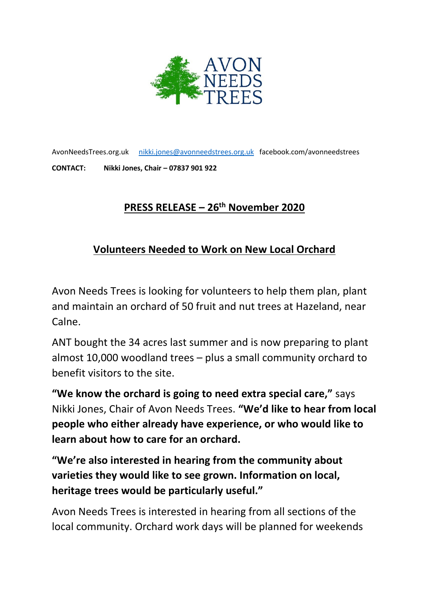

AvonNeedsTrees.org.uk [nikki.jones@avonneedstrees.org.uk](mailto:nikki.jones@avonneedstrees.org.uk) facebook.com/avonneedstrees **CONTACT: Nikki Jones, Chair – 07837 901 922**

## **PRESS RELEASE – 26th November 2020**

## **Volunteers Needed to Work on New Local Orchard**

Avon Needs Trees is looking for volunteers to help them plan, plant and maintain an orchard of 50 fruit and nut trees at Hazeland, near Calne.

ANT bought the 34 acres last summer and is now preparing to plant almost 10,000 woodland trees – plus a small community orchard to benefit visitors to the site.

**"We know the orchard is going to need extra special care,"** says Nikki Jones, Chair of Avon Needs Trees. **"We'd like to hear from local people who either already have experience, or who would like to learn about how to care for an orchard.** 

**"We're also interested in hearing from the community about varieties they would like to see grown. Information on local, heritage trees would be particularly useful."**

Avon Needs Trees is interested in hearing from all sections of the local community. Orchard work days will be planned for weekends